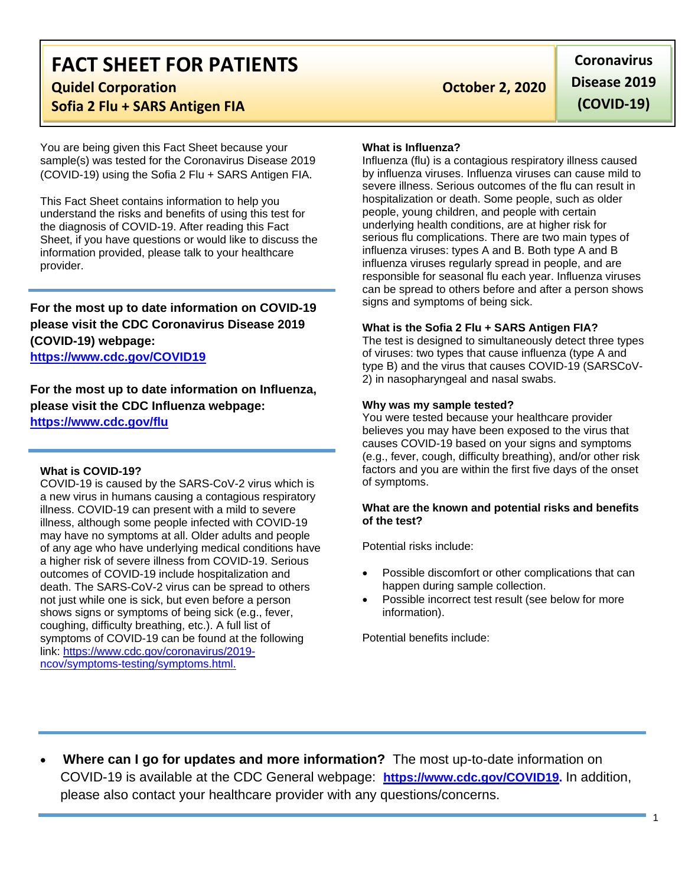# **FACT SHEET FOR PATIENTS**

**Calculate Corporation Constitution Constitution Constitution Constitution Constitution Constitution Constitution Constitution Constitution Constitution Constitution Constitution Constitution Co** 

# **Sofia 2 Flu + SARS Antigen FIA**

You are being given this Fact Sheet because your sample(s) was tested for the Coronavirus Disease 2019 (COVID-19) using the Sofia 2 Flu + SARS Antigen FIA.

This Fact Sheet contains information to help you understand the risks and benefits of using this test for the diagnosis of COVID-19. After reading this Fact Sheet, if you have questions or would like to discuss the information provided, please talk to your healthcare provider.

**For the most up to date information on COVID-19 please visit the CDC Coronavirus Disease 2019 (COVID-19) webpage:**

**[https://www.cdc.gov/COVID19](https://www.cdc.gov/nCoV)**

**For the most up to date information on Influenza, please visit the CDC Influenza webpage: <https://www.cdc.gov/flu>**

#### **What is COVID-19?**

COVID-19 is caused by the SARS-CoV-2 virus which is a new virus in humans causing a contagious respiratory illness. COVID-19 can present with a mild to severe illness, although some people infected with COVID-19 may have no symptoms at all. Older adults and people of any age who have underlying medical conditions have a higher risk of severe illness from COVID-19. Serious outcomes of COVID-19 include hospitalization and death. The SARS-CoV-2 virus can be spread to others not just while one is sick, but even before a person shows signs or symptoms of being sick (e.g., fever, coughing, difficulty breathing, etc.). A full list of symptoms of COVID-19 can be found at the following link: [https://www.cdc.gov/coronavirus/2019](https://www.cdc.gov/coronavirus/2019-ncov/symptoms-testing/symptoms.html) [ncov/symptoms-testing/symptoms.html.](https://www.cdc.gov/coronavirus/2019-ncov/symptoms-testing/symptoms.html)

**Coronavirus Disease 2019 (COVID-19)**

#### **What is Influenza?**

Influenza (flu) is a contagious respiratory illness caused by influenza viruses. Influenza viruses can cause mild to severe illness. Serious outcomes of the flu can result in hospitalization or death. Some people, such as older people, young children, and people with certain underlying health conditions, are at higher risk for serious flu complications. There are two main types of influenza viruses: types A and B. Both type A and B influenza viruses regularly spread in people, and are responsible for seasonal flu each year. Influenza viruses can be spread to others before and after a person shows signs and symptoms of being sick.

### **What is the Sofia 2 Flu + SARS Antigen FIA?**

The test is designed to simultaneously detect three types of viruses: two types that cause influenza (type A and type B) and the virus that causes COVID-19 (SARSCoV-2) in nasopharyngeal and nasal swabs.

### **Why was my sample tested?**

You were tested because your healthcare provider believes you may have been exposed to the virus that causes COVID-19 based on your signs and symptoms (e.g., fever, cough, difficulty breathing), and/or other risk factors and you are within the first five days of the onset of symptoms.

### **What are the known and potential risks and benefits of the test?**

Potential risks include:

- Possible discomfort or other complications that can happen during sample collection.
- Possible incorrect test result (see below for more information).

Potential benefits include:

• **Where can I go for updates and more information?** The most up-to-date information on COVID-19 is available at the CDC General webpage: **[https://www.cdc.gov/COVID19.](https://www.cdc.gov/nCoV)** In addition, please also contact your healthcare provider with any questions/concerns.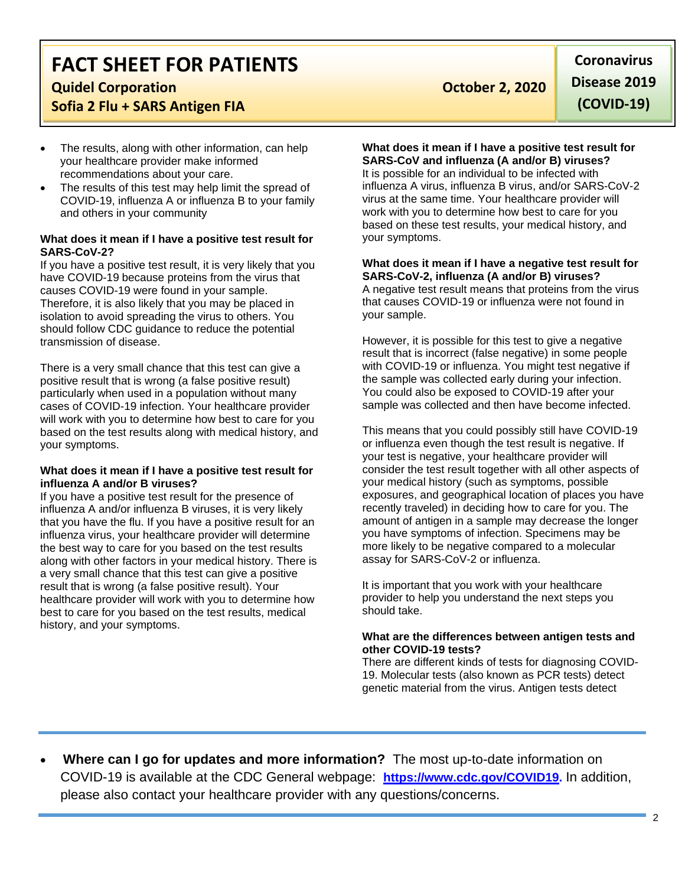# **FACT SHEET FOR PATIENTS**

# **Calculate Corporation Constitution Constitution Constitution Constitution Constitution Constitution Constitution Constitution Constitution Constitution Constitution Constitution Constitution Co**

## **Sofia 2 Flu + SARS Antigen FIA**

- The results, along with other information, can help your healthcare provider make informed recommendations about your care.
- The results of this test may help limit the spread of COVID-19, influenza A or influenza B to your family and others in your community

### **What does it mean if I have a positive test result for SARS-CoV-2?**

If you have a positive test result, it is very likely that you have COVID-19 because proteins from the virus that causes COVID-19 were found in your sample. Therefore, it is also likely that you may be placed in isolation to avoid spreading the virus to others. You should follow CDC guidance to reduce the potential transmission of disease.

There is a very small chance that this test can give a positive result that is wrong (a false positive result) particularly when used in a population without many cases of COVID-19 infection. Your healthcare provider will work with you to determine how best to care for you based on the test results along with medical history, and your symptoms.

### **What does it mean if I have a positive test result for influenza A and/or B viruses?**

If you have a positive test result for the presence of influenza A and/or influenza B viruses, it is very likely that you have the flu. If you have a positive result for an influenza virus, your healthcare provider will determine the best way to care for you based on the test results along with other factors in your medical history. There is a very small chance that this test can give a positive result that is wrong (a false positive result). Your healthcare provider will work with you to determine how best to care for you based on the test results, medical history, and your symptoms.

**Coronavirus Disease 2019 (COVID-19)**

# **What does it mean if I have a positive test result for SARS-CoV and influenza (A and/or B) viruses?**

It is possible for an individual to be infected with influenza A virus, influenza B virus, and/or SARS-CoV-2 virus at the same time. Your healthcare provider will work with you to determine how best to care for you based on these test results, your medical history, and your symptoms.

**What does it mean if I have a negative test result for SARS-CoV-2, influenza (A and/or B) viruses?** A negative test result means that proteins from the virus that causes COVID-19 or influenza were not found in your sample.

However, it is possible for this test to give a negative result that is incorrect (false negative) in some people with COVID-19 or influenza. You might test negative if the sample was collected early during your infection. You could also be exposed to COVID-19 after your sample was collected and then have become infected.

This means that you could possibly still have COVID-19 or influenza even though the test result is negative. If your test is negative, your healthcare provider will consider the test result together with all other aspects of your medical history (such as symptoms, possible exposures, and geographical location of places you have recently traveled) in deciding how to care for you. The amount of antigen in a sample may decrease the longer you have symptoms of infection. Specimens may be more likely to be negative compared to a molecular assay for SARS-CoV-2 or influenza.

It is important that you work with your healthcare provider to help you understand the next steps you should take.

### **What are the differences between antigen tests and other COVID-19 tests?**

There are different kinds of tests for diagnosing COVID-19. Molecular tests (also known as PCR tests) detect genetic material from the virus. Antigen tests detect

• **Where can I go for updates and more information?** The most up-to-date information on COVID-19 is available at the CDC General webpage: **[https://www.cdc.gov/COVID19.](https://www.cdc.gov/nCoV)** In addition, please also contact your healthcare provider with any questions/concerns.